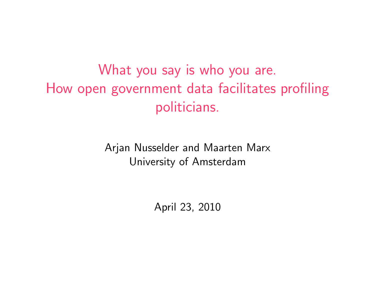What you say is who you are. How open government data facilitates profiling politicians.

> Arjan Nusselder and Maarten Marx University of Amsterdam

> > April 23, 2010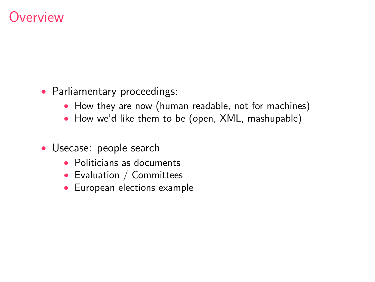# **Werview**

- Parliamentary proceedings:
	- How they are now (human readable, not for machines)
	- How we'd like them to be (open, XML, mashupable)
- Usecase: people search
	- Politicians as documents
	- Evaluation / Committees
	- European elections example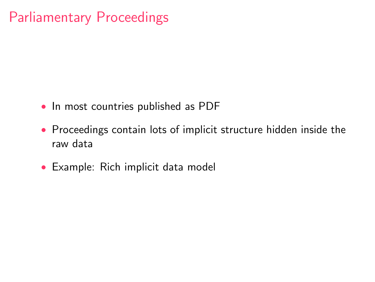# Parliamentary Proceedings

- In most countries published as PDF
- Proceedings contain lots of implicit structure hidden inside the raw data
- [Example: Rich implicit data model](http://staff.science.uva.nl/~marx/pub/HAN8168A06.0000.pdf)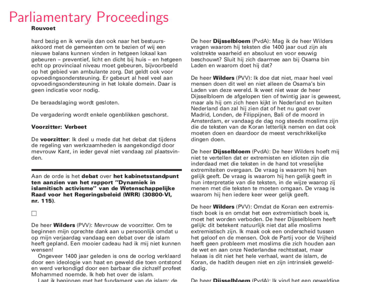# **Parliamentary Proceedings**

#### **Rouvoet**

hard bezig en ik verwijs dan ook naar het bestuursakkoord met de gemeenten om te bezien of wij een nieuwe balans kunnen vinden in hetgeen lokaal kan gebeuren – preventief, licht en dicht bij huis – en hetgeen echt on provinciaal niveau moet geheuren, bijvoorheeld on het gebied van ambulante zorg. Dat geldt ook voor onvoedingsondersteuning. Er gebeurt al heel veel aan opvoedingsondersteuning in het lokale domein. Daar is geen indicatie voor nodig.

De beraadslaging wordt gesloten.

De vergadering wordt enkele ogenblikken geschorst.

#### **Voorzitter: Verbeet**

De voorzitter: Ik deel u mede dat het debat dat tijdens de regeling van werkzaamheden is aangekondigd door mevrouw Kant, in jeder geval niet vandaag zal plaatsvinden.

Aan de orde is het debat over het kabinetsstandpunt ten aanzien van het rapport "Dynamiek in islamitisch activisme" van de Wetenschappelijke Raad voor het Regeringsbeleid (WRR) (30800-VI. nr. 115).

#### $\Box$

De heer Wilders (PVV): Meyrouw de voorzitter. Om te beginnen mijn oprechte dank aan u persoonlijk omdat u op mijn verjaardag vandaag een debat over de islam heeft gepland. Een mooier cadeau had ik mij niet kunnen wensenl

Ongeveer 1400 jaar geleden is ons de oorlog verklaard door een ideologie van haat en geweld die toen ontstond en werd verkondigd door een barbaar die zichzelf profeet Mohammed noemde. Ik heb het over de islam.

Lost ik beginnen met het fundament van de jelam; de

De heer Diisselbloem (PvdA): Mag ik de heer Wilders vragen waarom hij teksten die 1400 jaar oud zijn als volstrekte waarheid en absoluut en voor eeuwig beschouwt? Sluit hij zich daarmee aan bij Osama bin Laden en waarom doet hij dat?

De heer **Wilders** (PVV): Ik doe dat niet, maar heel veel mensen doen dit wel en niet alleen de Osama's hin Laden van deze wereld. Ik weet niet waar de heer Diisselbloem de afgelopen tien of twintig jaar is geweest. maar als hij om zich heen kijkt in Nederland en buiten. Nederland dan zal hij zien dat of het nu gaat over Madrid, Londen, de Filippiinen. Bali of de moord in Amsterdam, er vandaag de dag nog steeds moslims zijn die de teksten van de Koran letterlijk nemen en dat ook moeten doen en daardoor de meest verschrikkelijke dingen doen.

De heer Dijsselbloem (PvdA): De heer Wilders hoeft mij niet te vertellen dat er extremisten en idioten zijn die inderdaad met die teksten in de hand tot vreselijke extremiteiten overgaan. De vraag is waarom hij hen gelijk geeft. De vraag is waarom hij hen gelijk geeft in hun interpretatie van die teksten, in de wijze waarop zij menen met die teksten te moeten omgaan. De vraag is waarom hij hen jedere keer weer gelijk geeft.

De heer **Wilders** (PVV): Omdat de Koran een extremistisch boek is en omdat het een extremistisch boek is. moet het worden verboden. De heer Dijsselbloem heeft gelijk: dit betekent natuurlijk niet dat alle moslims extremistisch zijn. Ik maak ook een onderscheid tussen het geloof en de mensen. Ook de Partij voor de Vrijheid heeft geen probleem met moslims die zich houden aan de wet en aan onze Nederlandse rechtsstaat, maar helaas is dit niet het hele verhaal, want de islam, de Koran, de hadith deugen niet en zijn intrinsiek gewelddadig.

De heer **Dijsselbloem** (PudA): Ik vind het een geweldige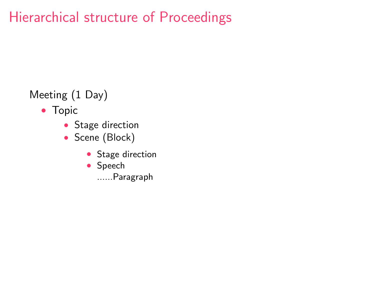# Hierarchical structure of Proceedings

### Meeting (1 Day)

- Topic
	- Stage direction
	- Scene (Block)
		- Stage direction
		- Speech
			- ......Paragraph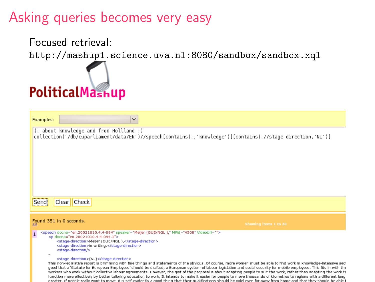# Asking queries becomes very easy

Focused retrieval: <http://mashup1.science.uva.nl:8080/sandbox/sandbox.xql>



| $\checkmark$<br>Examples:                                                                                                                                                                                                                                                                                                                                                                                                                                                                                                                                                                                                                                                                                                                                                                                                                                                                                                                                                                                                                                    |                       |
|--------------------------------------------------------------------------------------------------------------------------------------------------------------------------------------------------------------------------------------------------------------------------------------------------------------------------------------------------------------------------------------------------------------------------------------------------------------------------------------------------------------------------------------------------------------------------------------------------------------------------------------------------------------------------------------------------------------------------------------------------------------------------------------------------------------------------------------------------------------------------------------------------------------------------------------------------------------------------------------------------------------------------------------------------------------|-----------------------|
| (: about knowledge and from Hollland :)<br>collection('/db/euparliament/data/EN')//speech[contains(.,'knowledge')][contains(.//stage-direction,'NL')]                                                                                                                                                                                                                                                                                                                                                                                                                                                                                                                                                                                                                                                                                                                                                                                                                                                                                                        |                       |
| Clear Check<br>Send                                                                                                                                                                                                                                                                                                                                                                                                                                                                                                                                                                                                                                                                                                                                                                                                                                                                                                                                                                                                                                          |                       |
| Found 351 in 0 seconds.<br>33                                                                                                                                                                                                                                                                                                                                                                                                                                                                                                                                                                                                                                                                                                                                                                                                                                                                                                                                                                                                                                | Showing items 1 to 20 |
| <speech docno="en.20021010.4.4-094" mpid="4508" speaker="Meller (GUE/NGL)." videourl=""><br/><br/>p docno="en.20021010.4.4-094.1"&gt;<br/><stage-direction>Meller (GUE/NGL),</stage-direction><br/><stage-direction>in writing.</stage-direction><br><stage-direction></stage-direction><br/><stage-direction>(NL)</stage-direction><br/>This non-legislative report is brimming with fine things and statements of the obvious. Of course, more women must be able to find work in knowledge-intensive sec<br/>good that a 'Statute for European Employees' should be drafted, a European system of labour legislation and social security for mobile employees. This fits in with the<br/>workers who work without collective labour agreements. However, the gist of the proposal is about adapting people to suit the work, rather than adapting the work to<br/>function more effectively by better tailoring education to work. It intends to make it easier for people to move thousands of kilometres to regions with a different lang</br></speech> |                       |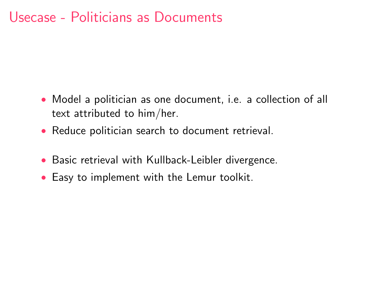### Usecase - Politicians as Documents

- Model a politician as one document, i.e. a collection of all text attributed to him/her.
- Reduce politician search to document retrieval.
- Basic retrieval with Kullback-Leibler divergence.
- Easy to implement with the Lemur toolkit.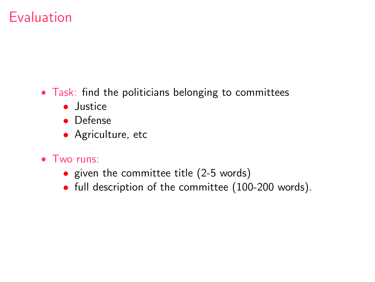# Evaluation

- Task: find the politicians belonging to committees
	- Justice
	- Defense
	- Agriculture, etc
- Two runs:
	- given the committee title (2-5 words)
	- full description of the committee (100-200 words).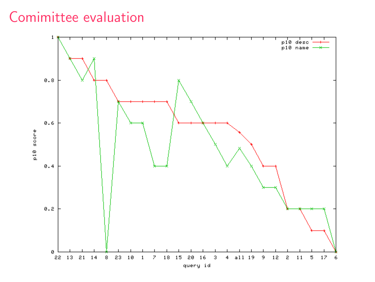# Comimittee evaluation